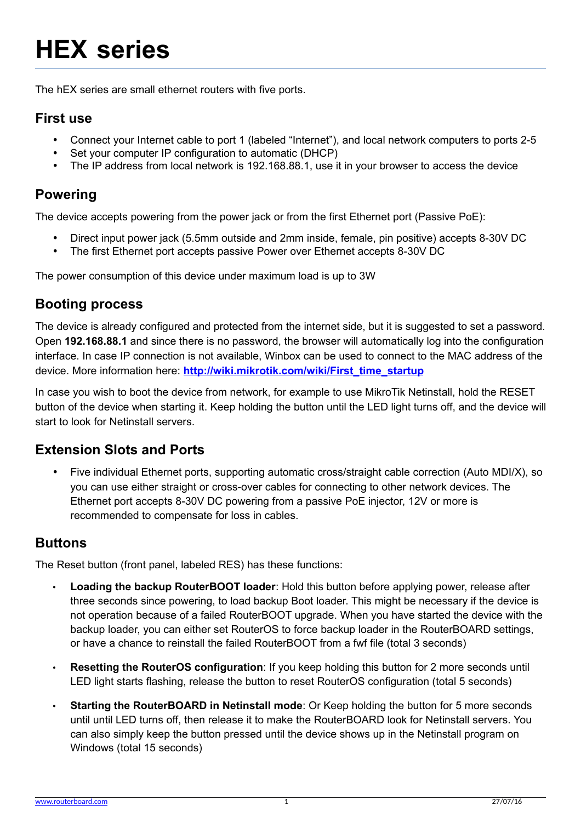# **HEX series**

The hEX series are small ethernet routers with five ports.

#### **First use**

- Connect your Internet cable to port 1 (labeled "Internet"), and local network computers to ports 2-5
- Set your computer IP configuration to automatic (DHCP)
- The IP address from local network is 192.168.88.1, use it in your browser to access the device

#### **Powering**

The device accepts powering from the power jack or from the first Ethernet port (Passive PoE):

- Direct input power jack (5.5mm outside and 2mm inside, female, pin positive) accepts 8-30V DC
- The first Ethernet port accepts passive Power over Ethernet accepts 8-30V DC

The power consumption of this device under maximum load is up to 3W

#### **Booting process**

The device is already configured and protected from the internet side, but it is suggested to set a password. Open **192.168.88.1** and since there is no password, the browser will automatically log into the configuration interface. In case IP connection is not available, Winbox can be used to connect to the MAC address of the device. More information here: **[http://wiki.mikrotik.com/wiki/First\\_time\\_startup](http://wiki.mikrotik.com/wiki/First_time_startup)**

In case you wish to boot the device from network, for example to use MikroTik Netinstall, hold the RESET button of the device when starting it. Keep holding the button until the LED light turns off, and the device will start to look for Netinstall servers.

## **Extension Slots and Ports**

 Five individual Ethernet ports, supporting automatic cross/straight cable correction (Auto MDI/X), so you can use either straight or cross-over cables for connecting to other network devices. The Ethernet port accepts 8-30V DC powering from a passive PoE injector, 12V or more is recommended to compensate for loss in cables.

### **Buttons**

The Reset button (front panel, labeled RES) has these functions:

- **Loading the backup RouterBOOT loader**: Hold this button before applying power, release after three seconds since powering, to load backup Boot loader. This might be necessary if the device is not operation because of a failed RouterBOOT upgrade. When you have started the device with the backup loader, you can either set RouterOS to force backup loader in the RouterBOARD settings, or have a chance to reinstall the failed RouterBOOT from a fwf file (total 3 seconds)
- **Resetting the RouterOS configuration**: If you keep holding this button for 2 more seconds until LED light starts flashing, release the button to reset RouterOS configuration (total 5 seconds)
- **Starting the RouterBOARD in Netinstall mode**: Or Keep holding the button for 5 more seconds until until LED turns off, then release it to make the RouterBOARD look for Netinstall servers. You can also simply keep the button pressed until the device shows up in the Netinstall program on Windows (total 15 seconds)